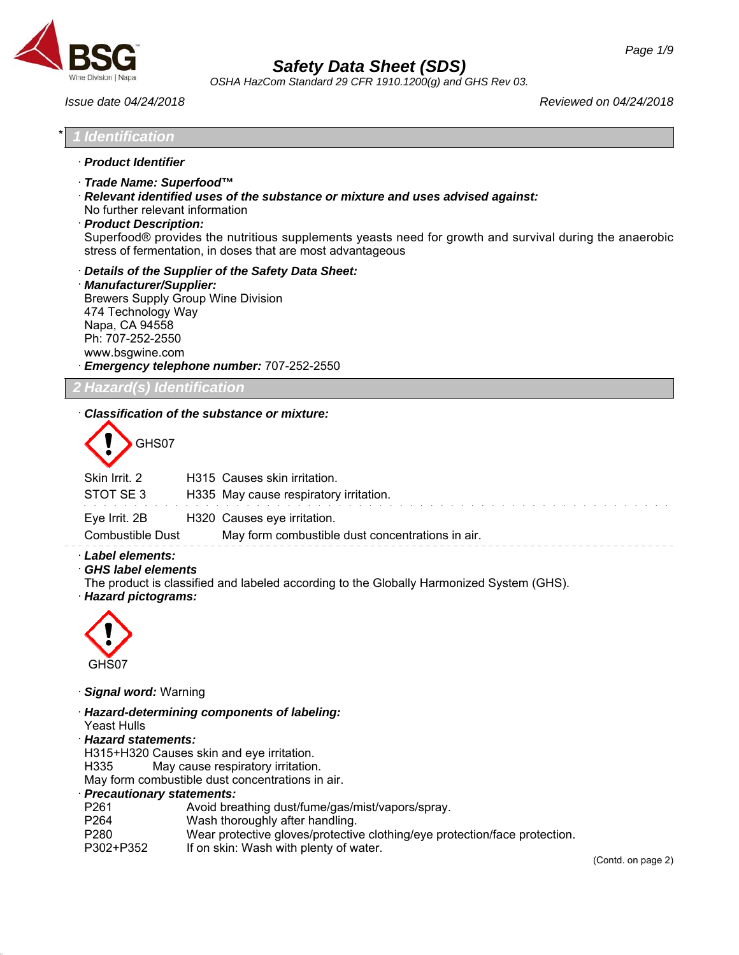

*OSHA HazCom Standard 29 CFR 1910.1200(g) and GHS Rev 03.*

*Issue date 04/24/2018 Reviewed on 04/24/2018*

#### \* *1 Identification*

- · *Product Identifier*
- · *Trade Name: Superfood™*
- · *Relevant identified uses of the substance or mixture and uses advised against:*
- No further relevant information
- · *Product Description:*

Superfood® provides the nutritious supplements yeasts need for growth and survival during the anaerobic stress of fermentation, in doses that are most advantageous

· *Details of the Supplier of the Safety Data Sheet:*

· *Manufacturer/Supplier:* Brewers Supply Group Wine Division 474 Technology Way Napa, CA 94558 Ph: 707-252-2550 www.bsgwine.com · *Emergency telephone number:* 707-252-2550

*2 Hazard(s) Identification*

## · *Classification of the substance or mixture:*

GHS07

| Skin Irrit. 2                            | H315 Causes skin irritation.                                                    |
|------------------------------------------|---------------------------------------------------------------------------------|
| STOT SE3                                 | H335 May cause respiratory irritation.                                          |
| Eye Irrit. 2B<br><b>Combustible Dust</b> | H320 Causes eye irritation.<br>May form combustible dust concentrations in air. |
|                                          |                                                                                 |

- · *Label elements:*
- · *GHS label elements*

The product is classified and labeled according to the Globally Harmonized System (GHS).

· *Hazard pictograms:*



· *Signal word:* Warning

- · *Hazard-determining components of labeling:*
- Yeast Hulls

46.2.1

- · *Hazard statements:*
- H315+H320 Causes skin and eye irritation.

H335 May cause respiratory irritation.

May form combustible dust concentrations in air.

#### · *Precautionary statements:*

P261 Avoid breathing dust/fume/gas/mist/vapors/spray. P264 Wash thoroughly after handling. P280 Wear protective gloves/protective clothing/eye protection/face protection. P302+P352 If on skin: Wash with plenty of water.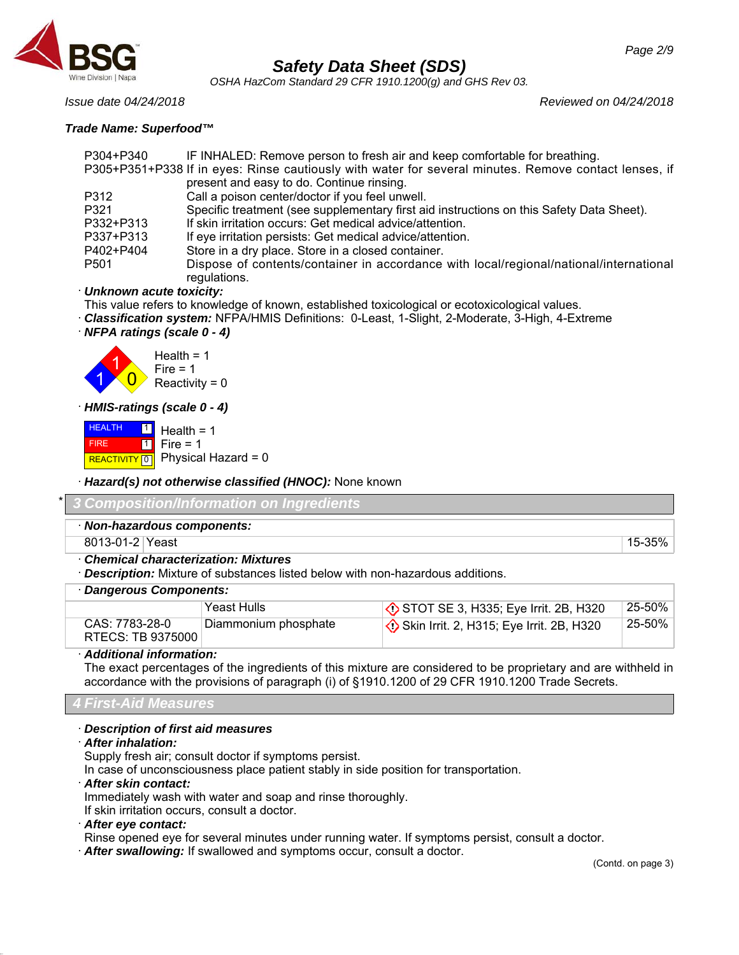

*OSHA HazCom Standard 29 CFR 1910.1200(g) and GHS Rev 03.*

*Issue date 04/24/2018 Reviewed on 04/24/2018*

## *Trade Name: Superfood™*

| P304+P340        | IF INHALED: Remove person to fresh air and keep comfortable for breathing.                            |
|------------------|-------------------------------------------------------------------------------------------------------|
|                  | P305+P351+P338 If in eyes: Rinse cautiously with water for several minutes. Remove contact lenses, if |
|                  | present and easy to do. Continue rinsing.                                                             |
| P312             | Call a poison center/doctor if you feel unwell.                                                       |
| P321             | Specific treatment (see supplementary first aid instructions on this Safety Data Sheet).              |
| P332+P313        | If skin irritation occurs: Get medical advice/attention.                                              |
| P337+P313        | If eye irritation persists: Get medical advice/attention.                                             |
| P402+P404        | Store in a dry place. Store in a closed container.                                                    |
| P <sub>501</sub> | Dispose of contents/container in accordance with local/regional/national/international                |
|                  | regulations.                                                                                          |

## · *Unknown acute toxicity:*

This value refers to knowledge of known, established toxicological or ecotoxicological values.

- · *Classification system:* NFPA/HMIS Definitions: 0-Least, 1-Slight, 2-Moderate, 3-High, 4-Extreme
- · *NFPA ratings (scale 0 4)*



· *HMIS-ratings (scale 0 - 4)*

**HEALTH**  FIRE REACTIVITY  $\boxed{0}$  Physical Hazard = 0 **11** 1 Health  $= 1$ Fire  $= 1$ 

· *Hazard(s) not otherwise classified (HNOC):* None known

| * 3 Composition/Information on Ingredients |        |
|--------------------------------------------|--------|
| Non-hazardous components:                  |        |
| 8013-01-2 Yeast                            | 15-35% |
| <b>Chemical characterization: Mixtures</b> |        |

· *Description:* Mixture of substances listed below with non-hazardous additions.

## · *Dangerous Components:*

|                                     | Yeast Hulls          | $\Diamond$ STOT SE 3, H335; Eye Irrit. 2B, H320     | 25-50% |
|-------------------------------------|----------------------|-----------------------------------------------------|--------|
| CAS: 7783-28-0<br>RTECS: TB 9375000 | Diammonium phosphate | $\Diamond$ Skin Irrit. 2, H315; Eye Irrit. 2B, H320 | 25-50% |

## · *Additional information:*

The exact percentages of the ingredients of this mixture are considered to be proprietary and are withheld in accordance with the provisions of paragraph (i) of §1910.1200 of 29 CFR 1910.1200 Trade Secrets.

*4 First-Aid Measures*

## · *Description of first aid measures*

· *After inhalation:*

Supply fresh air; consult doctor if symptoms persist.

In case of unconsciousness place patient stably in side position for transportation.

· *After skin contact:*

Immediately wash with water and soap and rinse thoroughly.

If skin irritation occurs, consult a doctor.

· *After eye contact:*

46.2.1

Rinse opened eye for several minutes under running water. If symptoms persist, consult a doctor.

· *After swallowing:* If swallowed and symptoms occur, consult a doctor.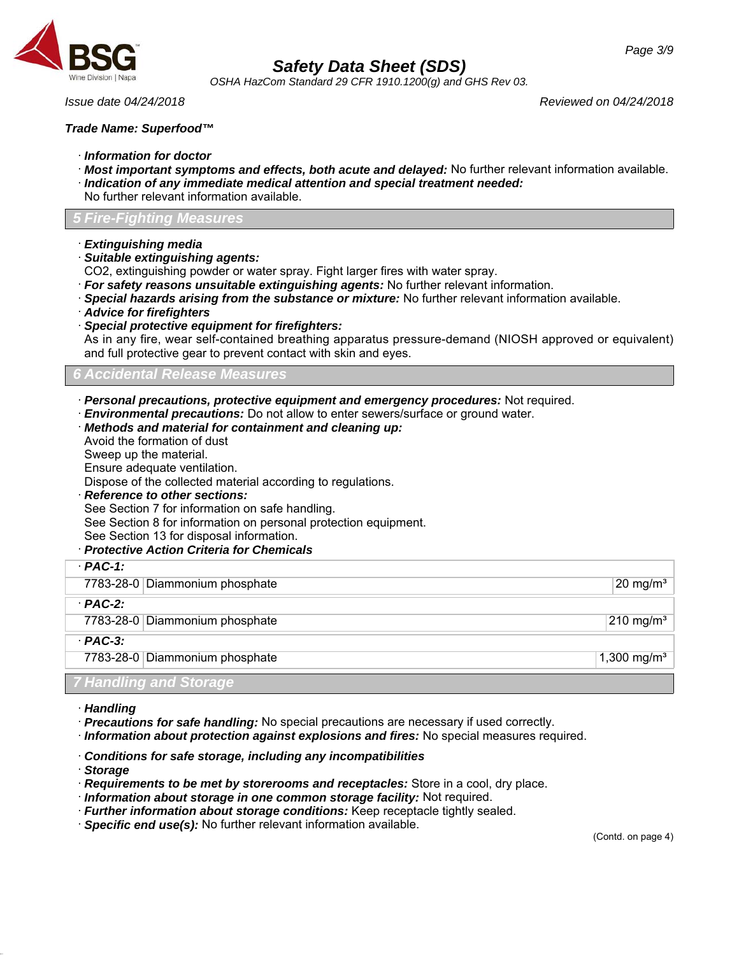

*OSHA HazCom Standard 29 CFR 1910.1200(g) and GHS Rev 03.*

*Issue date 04/24/2018 Reviewed on 04/24/2018*

### *Trade Name: Superfood™*

- · *Information for doctor*
- · *Most important symptoms and effects, both acute and delayed:* No further relevant information available. · *Indication of any immediate medical attention and special treatment needed:*
- No further relevant information available.

## *5 Fire-Fighting Measures*

- · *Extinguishing media*
- · *Suitable extinguishing agents:*
- CO2, extinguishing powder or water spray. Fight larger fires with water spray.
- · *For safety reasons unsuitable extinguishing agents:* No further relevant information.
- · *Special hazards arising from the substance or mixture:* No further relevant information available.
- · *Advice for firefighters*
- · *Special protective equipment for firefighters:*

As in any fire, wear self-contained breathing apparatus pressure-demand (NIOSH approved or equivalent) and full protective gear to prevent contact with skin and eyes.

## *6 Accidental Release Measures*

· *Personal precautions, protective equipment and emergency procedures:* Not required.

· *Environmental precautions:* Do not allow to enter sewers/surface or ground water.

- · *Methods and material for containment and cleaning up:*
- Avoid the formation of dust
- Sweep up the material.

Ensure adequate ventilation.

Dispose of the collected material according to regulations.

- · *Reference to other sections:* See Section 7 for information on safe handling. See Section 8 for information on personal protection equipment.
- See Section 13 for disposal information.

## · *Protective Action Criteria for Chemicals*

| $PAC-1$ :                      |                         |
|--------------------------------|-------------------------|
| 7783-28-0 Diammonium phosphate | $20 \text{ mg/m}^3$     |
| $·$ PAC-2:                     |                         |
| 7783-28-0 Diammonium phosphate | $210 \text{ mg/m}^3$    |
| $PAC-3$ :                      |                         |
| 7783-28-0 Diammonium phosphate | 1,300 mg/m <sup>3</sup> |

## *7 Handling and Storage*

- · *Handling*
- · *Precautions for safe handling:* No special precautions are necessary if used correctly.
- · *Information about protection against explosions and fires:* No special measures required.

## · *Conditions for safe storage, including any incompatibilities*

· *Storage*

46.2.1

- · *Requirements to be met by storerooms and receptacles:* Store in a cool, dry place.
- · *Information about storage in one common storage facility:* Not required.
- · *Further information about storage conditions:* Keep receptacle tightly sealed.
- · *Specific end use(s):* No further relevant information available.

(Contd. on page 4)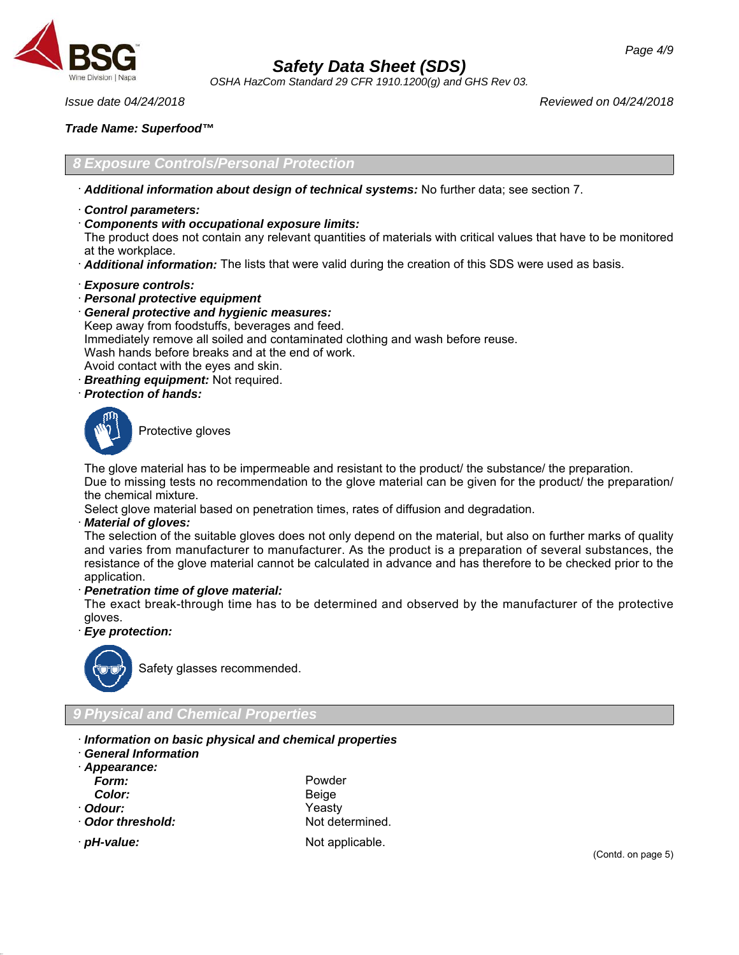

*OSHA HazCom Standard 29 CFR 1910.1200(g) and GHS Rev 03.*

*Issue date 04/24/2018 Reviewed on 04/24/2018*

## *Trade Name: Superfood™*

*8 Exposure Controls/Personal Protection*

- · *Additional information about design of technical systems:* No further data; see section 7.
- · *Control parameters:*
- · *Components with occupational exposure limits:*

The product does not contain any relevant quantities of materials with critical values that have to be monitored at the workplace.

- · *Additional information:* The lists that were valid during the creation of this SDS were used as basis.
- · *Exposure controls:*
- · *Personal protective equipment*
- · *General protective and hygienic measures:*
- Keep away from foodstuffs, beverages and feed.
- Immediately remove all soiled and contaminated clothing and wash before reuse.
- Wash hands before breaks and at the end of work.
- Avoid contact with the eyes and skin.
- · *Breathing equipment:* Not required.
- · *Protection of hands:*



Protective gloves

The glove material has to be impermeable and resistant to the product/ the substance/ the preparation.

Due to missing tests no recommendation to the glove material can be given for the product/ the preparation/ the chemical mixture.

Select glove material based on penetration times, rates of diffusion and degradation.

· *Material of gloves:*

The selection of the suitable gloves does not only depend on the material, but also on further marks of quality and varies from manufacturer to manufacturer. As the product is a preparation of several substances, the resistance of the glove material cannot be calculated in advance and has therefore to be checked prior to the application.

· *Penetration time of glove material:*

The exact break-through time has to be determined and observed by the manufacturer of the protective gloves.

· *Eye protection:*



Safety glasses recommended.

- *9 Physical and Chemical Properties*
- · *Information on basic physical and chemical properties*
- · *General Information*
- · *Appearance:*
- 
- 
- 
- 
- *Form:* Powder *Color:* Beige · *Odour:* Yeasty · **Odor threshold:** Not determined.
- 

46.2.1

*pH-value:* Not applicable.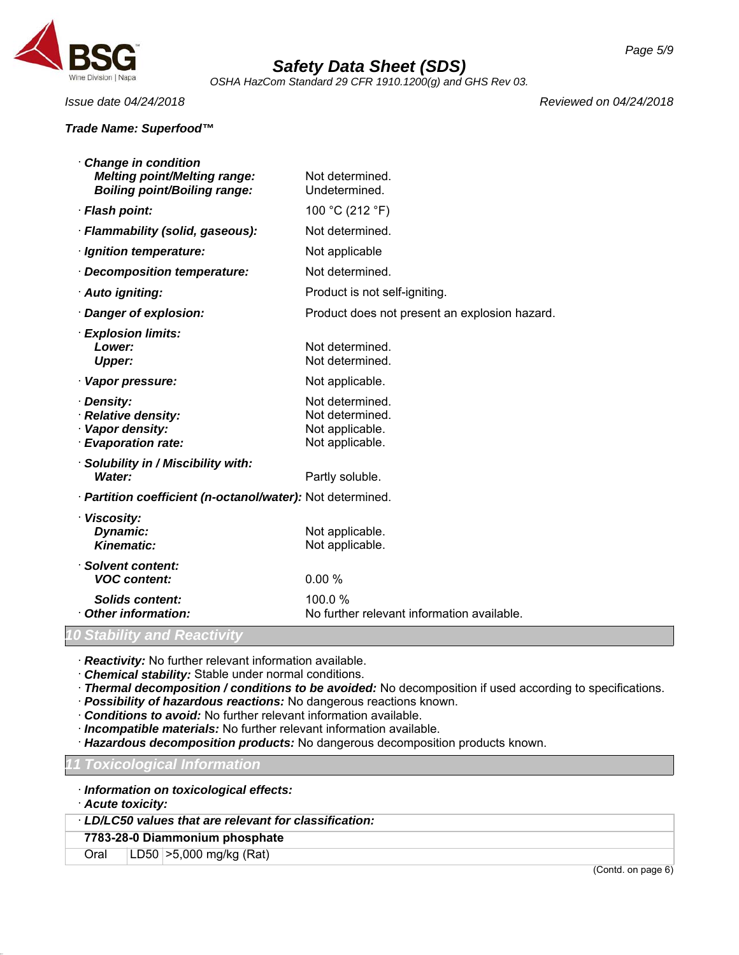

*OSHA HazCom Standard 29 CFR 1910.1200(g) and GHS Rev 03.*

## *Trade Name: Superfood™*

*Issue date 04/24/2018 Reviewed on 04/24/2018*

| Change in condition<br><b>Melting point/Melting range:</b><br><b>Boiling point/Boiling range:</b> | Not determined.<br>Undetermined.                                         |
|---------------------------------------------------------------------------------------------------|--------------------------------------------------------------------------|
| · Flash point:                                                                                    | 100 °C (212 °F)                                                          |
| · Flammability (solid, gaseous):                                                                  | Not determined.                                                          |
| · Ignition temperature:                                                                           | Not applicable                                                           |
| Decomposition temperature:                                                                        | Not determined.                                                          |
| · Auto igniting:                                                                                  | Product is not self-igniting.                                            |
| Danger of explosion:                                                                              | Product does not present an explosion hazard.                            |
| · Explosion limits:<br>Lower:<br><b>Upper:</b>                                                    | Not determined.<br>Not determined.                                       |
| · Vapor pressure:                                                                                 | Not applicable.                                                          |
| · Density:<br>· Relative density:<br>· Vapor density:<br>· Evaporation rate:                      | Not determined.<br>Not determined.<br>Not applicable.<br>Not applicable. |
| · Solubility in / Miscibility with:<br>Water:                                                     | Partly soluble.                                                          |
| · Partition coefficient (n-octanol/water): Not determined.                                        |                                                                          |
| · Viscosity:<br>Dynamic:<br><b>Kinematic:</b>                                                     | Not applicable.<br>Not applicable.                                       |
| · Solvent content:<br><b>VOC content:</b>                                                         | 0.00%                                                                    |
| <b>Solids content:</b><br>Other information:                                                      | 100.0%<br>No further relevant information available.                     |
| 10 Stability and Reactivity                                                                       |                                                                          |

· *Reactivity:* No further relevant information available.

· *Chemical stability:* Stable under normal conditions.

· *Thermal decomposition / conditions to be avoided:* No decomposition if used according to specifications.

· *Possibility of hazardous reactions:* No dangerous reactions known.

· *Conditions to avoid:* No further relevant information available.

· *Incompatible materials:* No further relevant information available.

· *Hazardous decomposition products:* No dangerous decomposition products known.

*11 Toxicological Information*

· *Information on toxicological effects:*

· *Acute toxicity:*

46.2.1

· *LD/LC50 values that are relevant for classification:*

**7783-28-0 Diammonium phosphate**

Oral LD50 >5,000 mg/kg (Rat)

(Contd. on page 6)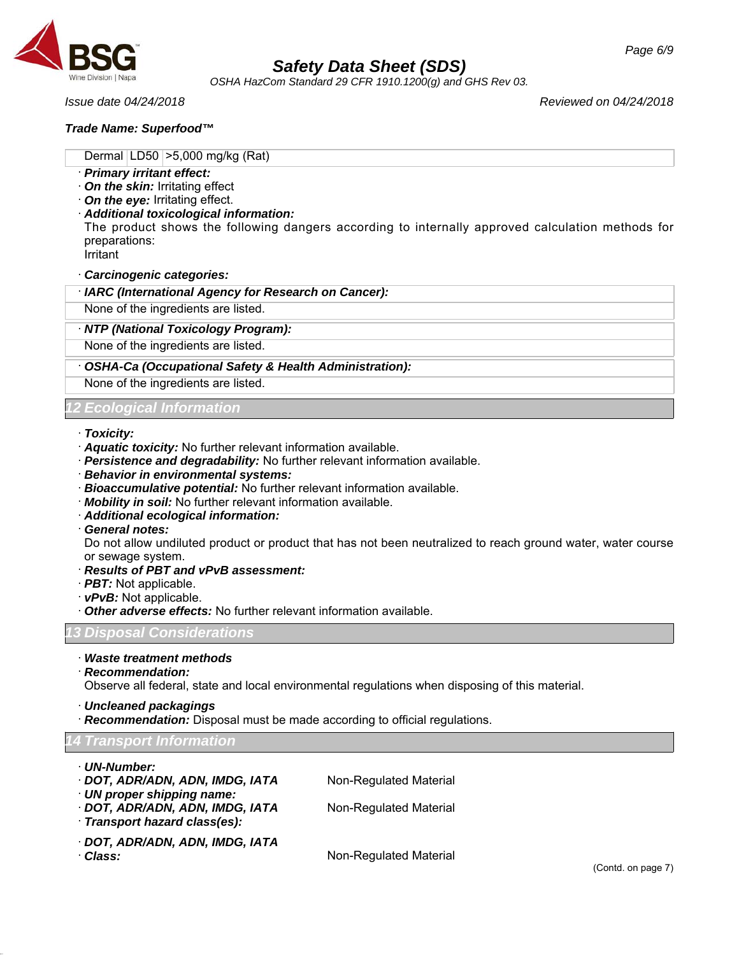

*OSHA HazCom Standard 29 CFR 1910.1200(g) and GHS Rev 03.*

## *Trade Name: Superfood™*

*Issue date 04/24/2018 Reviewed on 04/24/2018*

Dermal LD50 >5,000 mg/kg (Rat)

- · *Primary irritant effect:*
- · *On the skin:* Irritating effect
- · *On the eye:* Irritating effect.
- · *Additional toxicological information:*

The product shows the following dangers according to internally approved calculation methods for preparations:

Irritant

· *Carcinogenic categories:*

· *IARC (International Agency for Research on Cancer):*

None of the ingredients are listed.

· *NTP (National Toxicology Program):*

None of the ingredients are listed.

## · *OSHA-Ca (Occupational Safety & Health Administration):*

None of the ingredients are listed.

## *12 Ecological Information*

### · *Toxicity:*

- · *Aquatic toxicity:* No further relevant information available.
- · *Persistence and degradability:* No further relevant information available.
- · *Behavior in environmental systems:*
- · *Bioaccumulative potential:* No further relevant information available.
- · *Mobility in soil:* No further relevant information available.
- · *Additional ecological information:*
- · *General notes:*

Do not allow undiluted product or product that has not been neutralized to reach ground water, water course or sewage system.

- · *Results of PBT and vPvB assessment:*
- · *PBT:* Not applicable.
- · *vPvB:* Not applicable.
- Other adverse effects: No further relevant information available.

*13 Disposal Considerations*

- · *Waste treatment methods*
- · *Recommendation:*

Observe all federal, state and local environmental regulations when disposing of this material.

- · *Uncleaned packagings*
- · *Recommendation:* Disposal must be made according to official regulations.

## *14 Transport Information*

46.2.1

| · UN-Number:<br>· DOT, ADR/ADN, ADN, IMDG, IATA<br>· UN proper shipping name:<br>· DOT, ADR/ADN, ADN, IMDG, IATA<br>Transport hazard class(es): | Non-Regulated Material<br>Non-Regulated Material |
|-------------------------------------------------------------------------------------------------------------------------------------------------|--------------------------------------------------|
| · DOT, ADR/ADN, ADN, IMDG, IATA<br>· Class:                                                                                                     | Non-Regulated Material                           |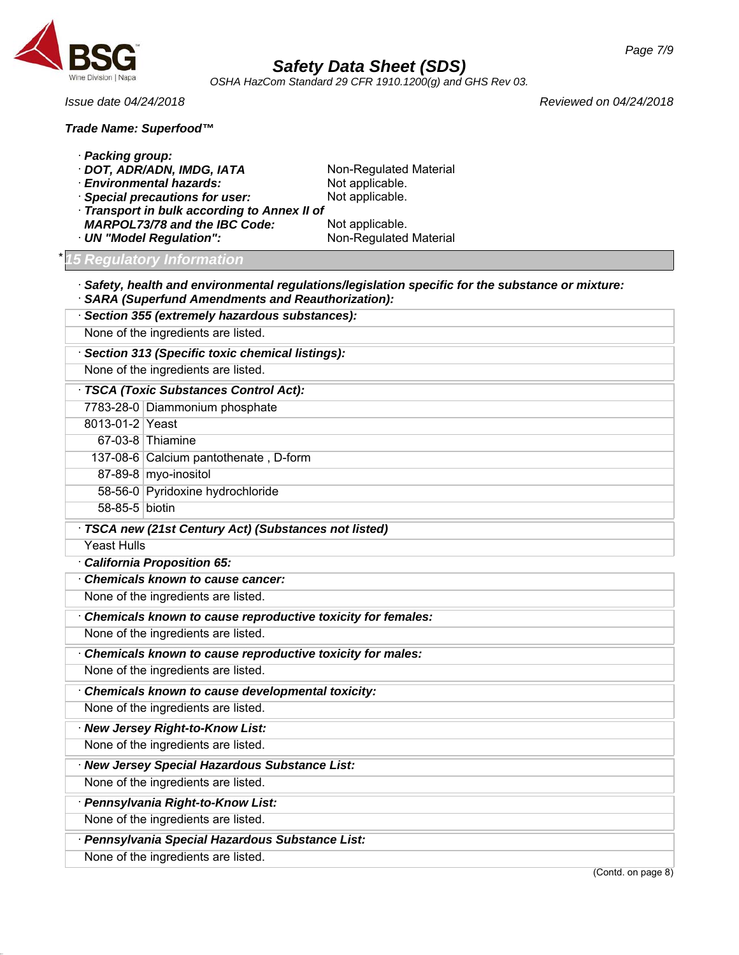

46.2.1

## *Safety Data Sheet (SDS)*

*Page 7/9*

*OSHA HazCom Standard 29 CFR 1910.1200(g) and GHS Rev 03.*

*Issue date 04/24/2018 Reviewed on 04/24/2018*

## *Trade Name: Superfood™*

| · Packing group:   | DOT, ADR/ADN, IMDG, IATA<br><b>Environmental hazards:</b><br><b>Special precautions for user:</b><br>Transport in bulk according to Annex II of | Non-Regulated Material<br>Not applicable.<br>Not applicable.                                            |
|--------------------|-------------------------------------------------------------------------------------------------------------------------------------------------|---------------------------------------------------------------------------------------------------------|
|                    | <b>MARPOL73/78 and the IBC Code:</b>                                                                                                            | Not applicable.                                                                                         |
|                    | · UN "Model Regulation":                                                                                                                        | Non-Regulated Material                                                                                  |
|                    | <b>5 Regulatory Information</b>                                                                                                                 |                                                                                                         |
|                    | <b>SARA (Superfund Amendments and Reauthorization):</b>                                                                                         | $\cdot$ Safety, health and environmental regulations/legislation specific for the substance or mixture: |
|                    | · Section 355 (extremely hazardous substances):                                                                                                 |                                                                                                         |
|                    | None of the ingredients are listed.                                                                                                             |                                                                                                         |
|                    | · Section 313 (Specific toxic chemical listings):                                                                                               |                                                                                                         |
|                    | None of the ingredients are listed.                                                                                                             |                                                                                                         |
|                    | TSCA (Toxic Substances Control Act):                                                                                                            |                                                                                                         |
|                    | 7783-28-0 Diammonium phosphate                                                                                                                  |                                                                                                         |
| 8013-01-2 Yeast    |                                                                                                                                                 |                                                                                                         |
|                    | 67-03-8 Thiamine                                                                                                                                |                                                                                                         |
|                    | 137-08-6 Calcium pantothenate, D-form                                                                                                           |                                                                                                         |
|                    | 87-89-8 myo-inositol                                                                                                                            |                                                                                                         |
|                    | 58-56-0 Pyridoxine hydrochloride                                                                                                                |                                                                                                         |
| 58-85-5 biotin     |                                                                                                                                                 |                                                                                                         |
|                    | TSCA new (21st Century Act) (Substances not listed)                                                                                             |                                                                                                         |
| <b>Yeast Hulls</b> |                                                                                                                                                 |                                                                                                         |
|                    | · California Proposition 65:                                                                                                                    |                                                                                                         |
|                    | Chemicals known to cause cancer:                                                                                                                |                                                                                                         |
|                    | None of the ingredients are listed.                                                                                                             |                                                                                                         |
|                    | Chemicals known to cause reproductive toxicity for females:                                                                                     |                                                                                                         |
|                    | None of the ingredients are listed.                                                                                                             |                                                                                                         |
|                    | Chemicals known to cause reproductive toxicity for males:                                                                                       |                                                                                                         |
|                    | None of the ingredients are listed.                                                                                                             |                                                                                                         |
|                    | Chemicals known to cause developmental toxicity:                                                                                                |                                                                                                         |
|                    | None of the ingredients are listed.                                                                                                             |                                                                                                         |
|                    | · New Jersey Right-to-Know List:                                                                                                                |                                                                                                         |
|                    | None of the ingredients are listed.                                                                                                             |                                                                                                         |
|                    | · New Jersey Special Hazardous Substance List:                                                                                                  |                                                                                                         |
|                    | None of the ingredients are listed.                                                                                                             |                                                                                                         |
|                    | · Pennsylvania Right-to-Know List:                                                                                                              |                                                                                                         |
|                    | None of the ingredients are listed.                                                                                                             |                                                                                                         |
|                    |                                                                                                                                                 |                                                                                                         |
|                    | · Pennsylvania Special Hazardous Substance List:<br>None of the ingredients are listed.                                                         |                                                                                                         |
|                    |                                                                                                                                                 |                                                                                                         |

(Contd. on page 8)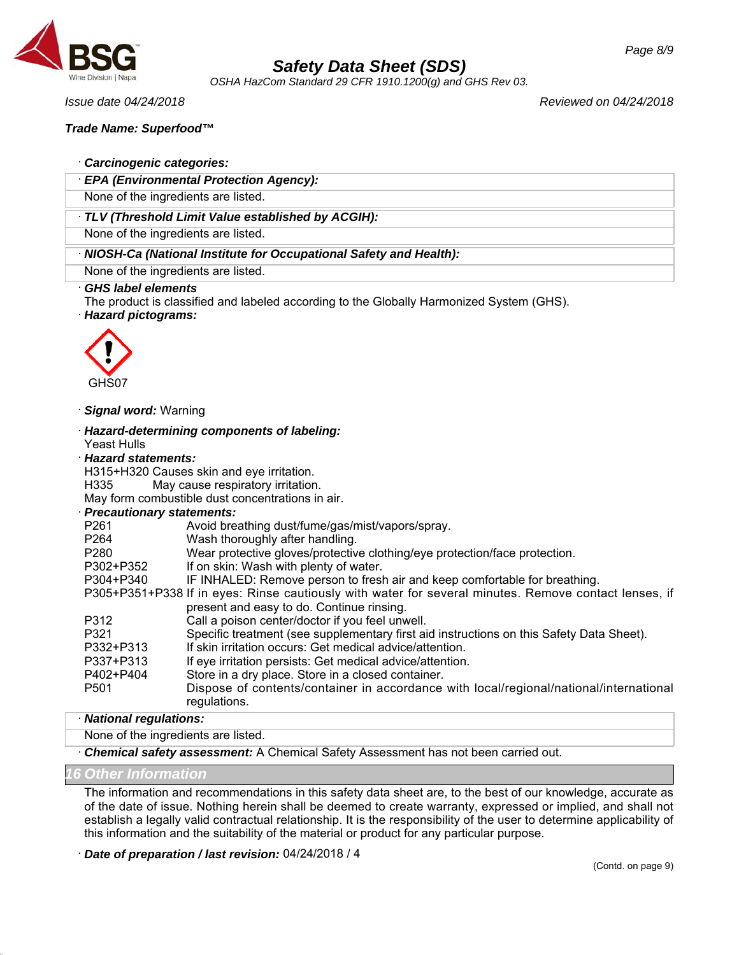

*OSHA HazCom Standard 29 CFR 1910.1200(g) and GHS Rev 03.*

*Issue date 04/24/2018 Reviewed on 04/24/2018*

## *Trade Name: Superfood™*

## · *Carcinogenic categories:*

· *EPA (Environmental Protection Agency):*

None of the ingredients are listed.

## · *TLV (Threshold Limit Value established by ACGIH):*

None of the ingredients are listed.

· *NIOSH-Ca (National Institute for Occupational Safety and Health):*

None of the ingredients are listed.

## · *GHS label elements*

The product is classified and labeled according to the Globally Harmonized System (GHS). · *Hazard pictograms:*



· *Signal word:* Warning

· *Hazard-determining components of labeling:* Yeast Hulls

### · *Hazard statements:*

H315+H320 Causes skin and eye irritation.

H335 May cause respiratory irritation.

May form combustible dust concentrations in air.

## · *Precautionary statements:*

| <b>FICLAUDIALY SUBSITIONS.</b> |                                                                                                        |
|--------------------------------|--------------------------------------------------------------------------------------------------------|
| P <sub>261</sub>               | Avoid breathing dust/fume/gas/mist/vapors/spray.                                                       |
| P <sub>264</sub>               | Wash thoroughly after handling.                                                                        |
| P <sub>280</sub>               | Wear protective gloves/protective clothing/eye protection/face protection.                             |
| P302+P352                      | If on skin: Wash with plenty of water.                                                                 |
| P304+P340                      | IF INHALED: Remove person to fresh air and keep comfortable for breathing.                             |
|                                | P305+P351+P338 If in eyes: Rinse cautiously with water for several minutes. Remove contact lenses, if  |
|                                | present and easy to do. Continue rinsing.                                                              |
| P312                           | Call a poison center/doctor if you feel unwell.                                                        |
| P321                           | Specific treatment (see supplementary first aid instructions on this Safety Data Sheet).               |
| P332+P313                      | If skin irritation occurs: Get medical advice/attention.                                               |
| P337+P313                      | If eye irritation persists: Get medical advice/attention.                                              |
| P402+P404                      | Store in a dry place. Store in a closed container.                                                     |
| P <sub>501</sub>               | Dispose of contents/container in accordance with local/regional/national/international<br>regulations. |

## · *National regulations:*

None of the ingredients are listed.

· *Chemical safety assessment:* A Chemical Safety Assessment has not been carried out.

*16 Other Information*

46.2.1

The information and recommendations in this safety data sheet are, to the best of our knowledge, accurate as of the date of issue. Nothing herein shall be deemed to create warranty, expressed or implied, and shall not establish a legally valid contractual relationship. It is the responsibility of the user to determine applicability of this information and the suitability of the material or product for any particular purpose.

· *Date of preparation / last revision:* 04/24/2018 / 4